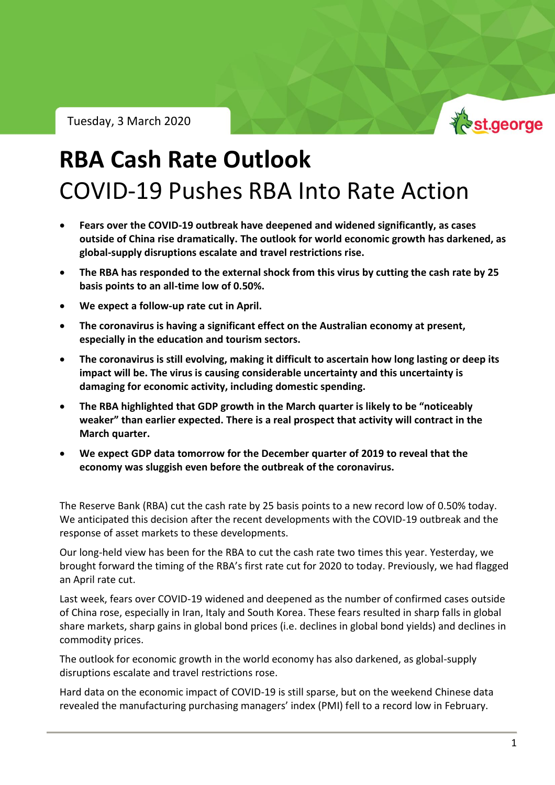Tuesday, 3 March 2020



# **RBA Cash Rate Outlook** COVID-19 Pushes RBA Into Rate Action

- **Fears over the COVID-19 outbreak have deepened and widened significantly, as cases outside of China rise dramatically. The outlook for world economic growth has darkened, as global-supply disruptions escalate and travel restrictions rise.**
- **The RBA has responded to the external shock from this virus by cutting the cash rate by 25 basis points to an all-time low of 0.50%.**
- **We expect a follow-up rate cut in April.**
- **The coronavirus is having a significant effect on the Australian economy at present, especially in the education and tourism sectors.**
- **The coronavirus is still evolving, making it difficult to ascertain how long lasting or deep its impact will be. The virus is causing considerable uncertainty and this uncertainty is damaging for economic activity, including domestic spending.**
- **The RBA highlighted that GDP growth in the March quarter is likely to be "noticeably weaker" than earlier expected. There is a real prospect that activity will contract in the March quarter.**
- **We expect GDP data tomorrow for the December quarter of 2019 to reveal that the economy was sluggish even before the outbreak of the coronavirus.**

The Reserve Bank (RBA) cut the cash rate by 25 basis points to a new record low of 0.50% today. We anticipated this decision after the recent developments with the COVID-19 outbreak and the response of asset markets to these developments.

Our long-held view has been for the RBA to cut the cash rate two times this year. Yesterday, we brought forward the timing of the RBA's first rate cut for 2020 to today. Previously, we had flagged an April rate cut.

Last week, fears over COVID-19 widened and deepened as the number of confirmed cases outside of China rose, especially in Iran, Italy and South Korea. These fears resulted in sharp falls in global share markets, sharp gains in global bond prices (i.e. declines in global bond yields) and declines in commodity prices.

The outlook for economic growth in the world economy has also darkened, as global-supply disruptions escalate and travel restrictions rose.

Hard data on the economic impact of COVID-19 is still sparse, but on the weekend Chinese data revealed the manufacturing purchasing managers' index (PMI) fell to a record low in February.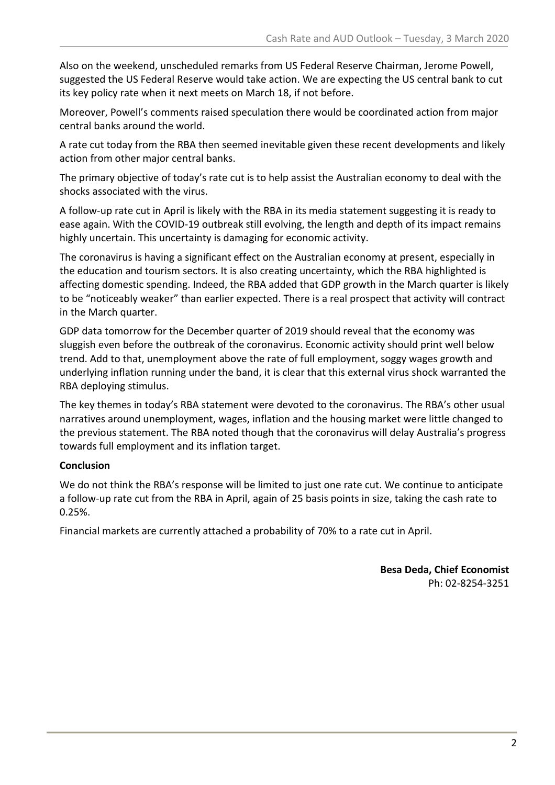Also on the weekend, unscheduled remarks from US Federal Reserve Chairman, Jerome Powell, suggested the US Federal Reserve would take action. We are expecting the US central bank to cut its key policy rate when it next meets on March 18, if not before.

Moreover, Powell's comments raised speculation there would be coordinated action from major central banks around the world.

A rate cut today from the RBA then seemed inevitable given these recent developments and likely action from other major central banks.

The primary objective of today's rate cut is to help assist the Australian economy to deal with the shocks associated with the virus.

A follow-up rate cut in April is likely with the RBA in its media statement suggesting it is ready to ease again. With the COVID-19 outbreak still evolving, the length and depth of its impact remains highly uncertain. This uncertainty is damaging for economic activity.

The coronavirus is having a significant effect on the Australian economy at present, especially in the education and tourism sectors. It is also creating uncertainty, which the RBA highlighted is affecting domestic spending. Indeed, the RBA added that GDP growth in the March quarter is likely to be "noticeably weaker" than earlier expected. There is a real prospect that activity will contract in the March quarter.

GDP data tomorrow for the December quarter of 2019 should reveal that the economy was sluggish even before the outbreak of the coronavirus. Economic activity should print well below trend. Add to that, unemployment above the rate of full employment, soggy wages growth and underlying inflation running under the band, it is clear that this external virus shock warranted the RBA deploying stimulus.

The key themes in today's RBA statement were devoted to the coronavirus. The RBA's other usual narratives around unemployment, wages, inflation and the housing market were little changed to the previous statement. The RBA noted though that the coronavirus will delay Australia's progress towards full employment and its inflation target.

# **Conclusion**

We do not think the RBA's response will be limited to just one rate cut. We continue to anticipate a follow-up rate cut from the RBA in April, again of 25 basis points in size, taking the cash rate to 0.25%.

Financial markets are currently attached a probability of 70% to a rate cut in April.

### **Besa Deda, Chief Economist** Ph: 02-8254-3251